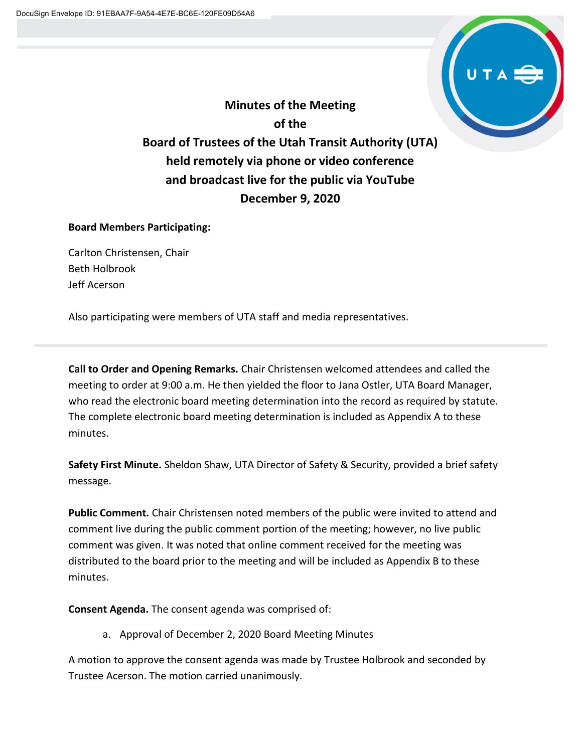

**Minutes of the Meeting of the Board of Trustees of the Utah Transit Authority (UTA) held remotely via phone or video conference and broadcast live for the public via YouTube December 9, 2020**

# **Board Members Participating:**

Carlton Christensen, Chair Beth Holbrook Jeff Acerson

Also participating were members of UTA staff and media representatives.

**Call to Order and Opening Remarks.** Chair Christensen welcomed attendees and called the meeting to order at 9:00 a.m. He then yielded the floor to Jana Ostler, UTA Board Manager, who read the electronic board meeting determination into the record as required by statute. The complete electronic board meeting determination is included as Appendix A to these minutes.

**Safety First Minute.** Sheldon Shaw, UTA Director of Safety & Security, provided a brief safety message.

**Public Comment.** Chair Christensen noted members of the public were invited to attend and comment live during the public comment portion of the meeting; however, no live public comment was given. It was noted that online comment received for the meeting was distributed to the board prior to the meeting and will be included as Appendix B to these minutes.

**Consent Agenda.** The consent agenda was comprised of:

a. Approval of December 2, 2020 Board Meeting Minutes

A motion to approve the consent agenda was made by Trustee Holbrook and seconded by Trustee Acerson. The motion carried unanimously.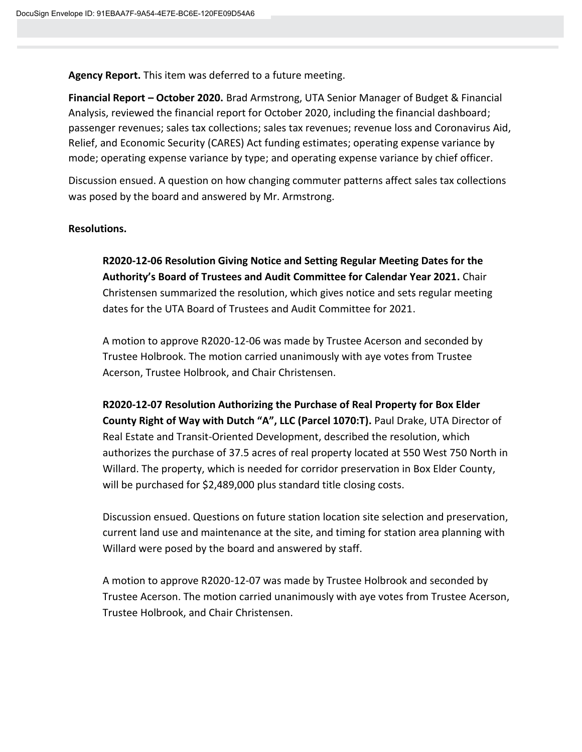**Agency Report.** This item was deferred to a future meeting.

**Financial Report – October 2020.** Brad Armstrong, UTA Senior Manager of Budget & Financial Analysis, reviewed the financial report for October 2020, including the financial dashboard; passenger revenues; sales tax collections; sales tax revenues; revenue loss and Coronavirus Aid, Relief, and Economic Security (CARES) Act funding estimates; operating expense variance by mode; operating expense variance by type; and operating expense variance by chief officer.

Discussion ensued. A question on how changing commuter patterns affect sales tax collections was posed by the board and answered by Mr. Armstrong.

#### **Resolutions.**

**R2020-12-06 Resolution Giving Notice and Setting Regular Meeting Dates for the Authority's Board of Trustees and Audit Committee for Calendar Year 2021.** Chair Christensen summarized the resolution, which gives notice and sets regular meeting dates for the UTA Board of Trustees and Audit Committee for 2021.

A motion to approve R2020-12-06 was made by Trustee Acerson and seconded by Trustee Holbrook. The motion carried unanimously with aye votes from Trustee Acerson, Trustee Holbrook, and Chair Christensen.

**R2020-12-07 Resolution Authorizing the Purchase of Real Property for Box Elder County Right of Way with Dutch "A", LLC (Parcel 1070:T).** Paul Drake, UTA Director of Real Estate and Transit-Oriented Development, described the resolution, which authorizes the purchase of 37.5 acres of real property located at 550 West 750 North in Willard. The property, which is needed for corridor preservation in Box Elder County, will be purchased for \$2,489,000 plus standard title closing costs.

Discussion ensued. Questions on future station location site selection and preservation, current land use and maintenance at the site, and timing for station area planning with Willard were posed by the board and answered by staff.

A motion to approve R2020-12-07 was made by Trustee Holbrook and seconded by Trustee Acerson. The motion carried unanimously with aye votes from Trustee Acerson, Trustee Holbrook, and Chair Christensen.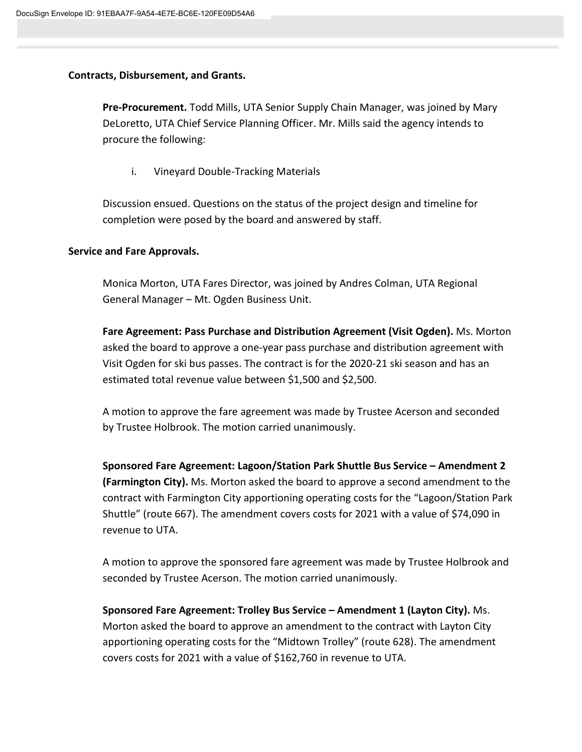#### **Contracts, Disbursement, and Grants.**

**Pre-Procurement.** Todd Mills, UTA Senior Supply Chain Manager, was joined by Mary DeLoretto, UTA Chief Service Planning Officer. Mr. Mills said the agency intends to procure the following:

i. Vineyard Double-Tracking Materials

Discussion ensued. Questions on the status of the project design and timeline for completion were posed by the board and answered by staff.

#### **Service and Fare Approvals.**

Monica Morton, UTA Fares Director, was joined by Andres Colman, UTA Regional General Manager – Mt. Ogden Business Unit.

**Fare Agreement: Pass Purchase and Distribution Agreement (Visit Ogden).** Ms. Morton asked the board to approve a one-year pass purchase and distribution agreement with Visit Ogden for ski bus passes. The contract is for the 2020-21 ski season and has an estimated total revenue value between \$1,500 and \$2,500.

A motion to approve the fare agreement was made by Trustee Acerson and seconded by Trustee Holbrook. The motion carried unanimously.

**Sponsored Fare Agreement: Lagoon/Station Park Shuttle Bus Service – Amendment 2 (Farmington City).** Ms. Morton asked the board to approve a second amendment to the contract with Farmington City apportioning operating costs for the "Lagoon/Station Park Shuttle" (route 667). The amendment covers costs for 2021 with a value of \$74,090 in revenue to UTA.

A motion to approve the sponsored fare agreement was made by Trustee Holbrook and seconded by Trustee Acerson. The motion carried unanimously.

**Sponsored Fare Agreement: Trolley Bus Service – Amendment 1 (Layton City).** Ms. Morton asked the board to approve an amendment to the contract with Layton City apportioning operating costs for the "Midtown Trolley" (route 628). The amendment covers costs for 2021 with a value of \$162,760 in revenue to UTA.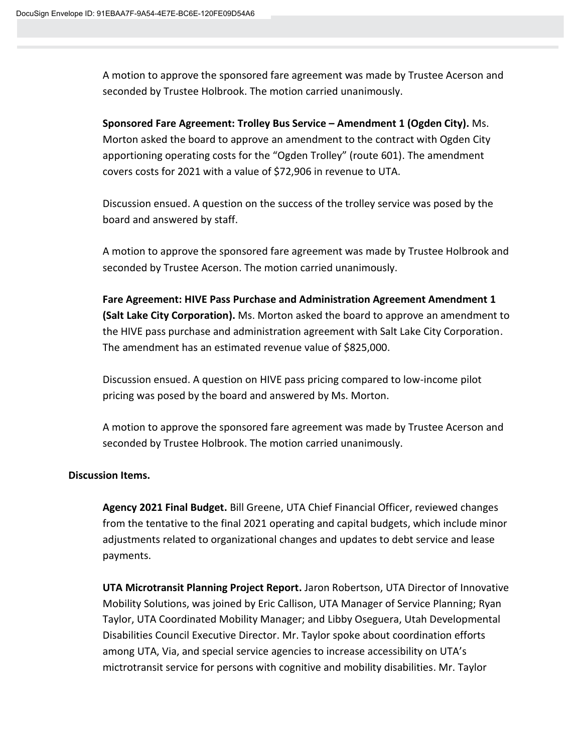A motion to approve the sponsored fare agreement was made by Trustee Acerson and seconded by Trustee Holbrook. The motion carried unanimously.

**Sponsored Fare Agreement: Trolley Bus Service – Amendment 1 (Ogden City).** Ms. Morton asked the board to approve an amendment to the contract with Ogden City apportioning operating costs for the "Ogden Trolley" (route 601). The amendment covers costs for 2021 with a value of \$72,906 in revenue to UTA.

Discussion ensued. A question on the success of the trolley service was posed by the board and answered by staff.

A motion to approve the sponsored fare agreement was made by Trustee Holbrook and seconded by Trustee Acerson. The motion carried unanimously.

**Fare Agreement: HIVE Pass Purchase and Administration Agreement Amendment 1 (Salt Lake City Corporation).** Ms. Morton asked the board to approve an amendment to the HIVE pass purchase and administration agreement with Salt Lake City Corporation. The amendment has an estimated revenue value of \$825,000.

Discussion ensued. A question on HIVE pass pricing compared to low-income pilot pricing was posed by the board and answered by Ms. Morton.

A motion to approve the sponsored fare agreement was made by Trustee Acerson and seconded by Trustee Holbrook. The motion carried unanimously.

### **Discussion Items.**

**Agency 2021 Final Budget.** Bill Greene, UTA Chief Financial Officer, reviewed changes from the tentative to the final 2021 operating and capital budgets, which include minor adjustments related to organizational changes and updates to debt service and lease payments.

**UTA Microtransit Planning Project Report.** Jaron Robertson, UTA Director of Innovative Mobility Solutions, was joined by Eric Callison, UTA Manager of Service Planning; Ryan Taylor, UTA Coordinated Mobility Manager; and Libby Oseguera, Utah Developmental Disabilities Council Executive Director. Mr. Taylor spoke about coordination efforts among UTA, Via, and special service agencies to increase accessibility on UTA's mictrotransit service for persons with cognitive and mobility disabilities. Mr. Taylor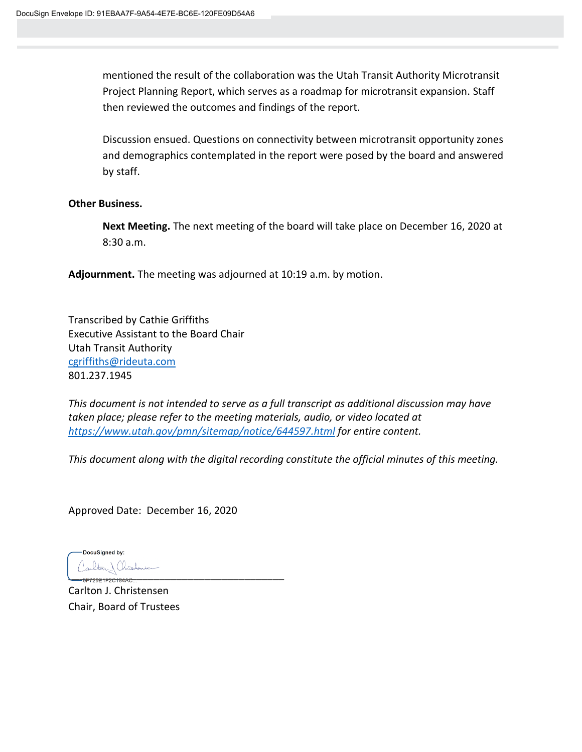mentioned the result of the collaboration was the Utah Transit Authority Microtransit Project Planning Report, which serves as a roadmap for microtransit expansion. Staff then reviewed the outcomes and findings of the report.

Discussion ensued. Questions on connectivity between microtransit opportunity zones and demographics contemplated in the report were posed by the board and answered by staff.

#### **Other Business.**

**Next Meeting.** The next meeting of the board will take place on December 16, 2020 at 8:30 a.m.

**Adjournment.** The meeting was adjourned at 10:19 a.m. by motion.

Transcribed by Cathie Griffiths Executive Assistant to the Board Chair Utah Transit Authority [cgriffiths@rideuta.com](mailto:cgriffiths@rideuta.com) 801.237.1945

*This document is not intended to serve as a full transcript as additional discussion may have taken place; please refer to the meeting materials, audio, or video located at <https://www.utah.gov/pmn/sitemap/notice/644597.html> for entire content.*

*This document along with the digital recording constitute the official minutes of this meeting.*

Approved Date: December 16, 2020

DocuSianed by: \_\_\_\_\_\_\_\_\_\_\_\_\_\_\_\_\_\_\_\_\_\_\_\_\_\_\_\_\_\_\_\_\_\_\_\_\_\_

Carlton J. Christensen Chair, Board of Trustees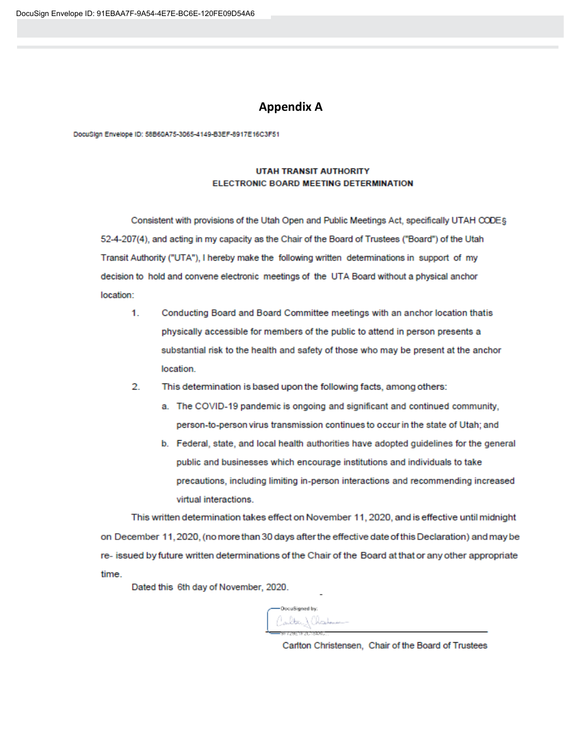#### **Appendix A**

DocuSign Envelope ID: 58B60A75-3065-4149-B3EF-8917E16C3F51

#### **UTAH TRANSIT AUTHORITY** ELECTRONIC BOARD MEETING DETERMINATION

Consistent with provisions of the Utah Open and Public Meetings Act, specifically UTAH CODEs 52-4-207(4), and acting in my capacity as the Chair of the Board of Trustees ("Board") of the Utah Transit Authority ("UTA"), I hereby make the following written determinations in support of my decision to hold and convene electronic meetings of the UTA Board without a physical anchor location:

- $1.$ Conducting Board and Board Committee meetings with an anchor location thatis physically accessible for members of the public to attend in person presents a substantial risk to the health and safety of those who may be present at the anchor location.
- $\overline{2}$ . This determination is based upon the following facts, among others:
	- a. The COVID-19 pandemic is ongoing and significant and continued community, person-to-person virus transmission continues to occur in the state of Utah; and
	- b. Federal, state, and local health authorities have adopted guidelines for the general public and businesses which encourage institutions and individuals to take precautions, including limiting in-person interactions and recommending increased virtual interactions

This written determination takes effect on November 11, 2020, and is effective until midnight on December 11, 2020, (no more than 30 days after the effective date of this Declaration) and may be re- issued by future written determinations of the Chair of the Board at that or any other appropriate time.

Dated this 6th day of November, 2020.

DocuSigned by: alba) (haduu-

Carlton Christensen, Chair of the Board of Trustees